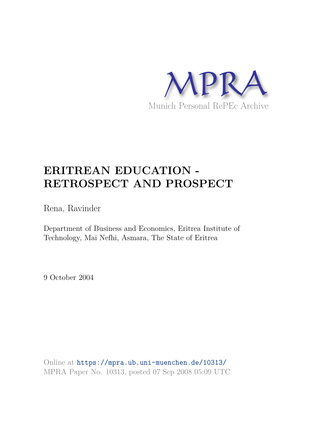

# **ERITREAN EDUCATION - RETROSPECT AND PROSPECT**

Rena, Ravinder

Department of Business and Economics, Eritrea Institute of Technology, Mai Nefhi, Asmara, The State of Eritrea

9 October 2004

Online at https://mpra.ub.uni-muenchen.de/10313/ MPRA Paper No. 10313, posted 07 Sep 2008 05:09 UTC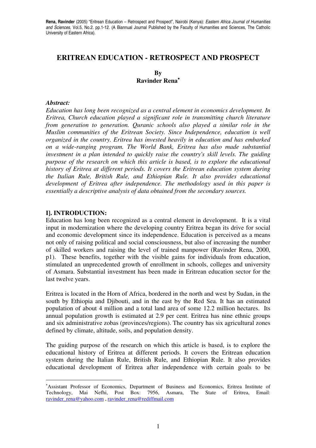# **ERITREAN EDUCATION - RETROSPECT AND PROSPECT**

**By Ravinder Rena**<sup>∗</sup>

#### *Abstract:*

*Education has long been recognized as a central element in economics development. In Eritrea, Church education played a significant role in transmitting church literature from generation to generation. Quranic schools also played a similar role in the Muslim communities of the Eritrean Society. Since Independence, education is well organized in the country. Eritrea has invested heavily in education and has embarked on a wide-ranging program. The World Bank, Eritrea has also made substantial investment in a plan intended to quickly raise the country's skill levels. The guiding purpose of the research on which this article is based, is to explore the educational history of Eritrea at different periods. It covers the Eritrean education system during the Italian Rule, British Rule, and Ethiopian Rule. It also provides educational development of Eritrea after independence. The methodology used in this paper is essentially a descriptive analysis of data obtained from the secondary sources.* 

## **I]. INTRODUCTION:**

 $\overline{a}$ 

Education has long been recognized as a central element in development. It is a vital input in modernization where the developing country Eritrea began its drive for social and economic development since its independence. Education is perceived as a means not only of raising political and social consciousness, but also of increasing the number of skilled workers and raising the level of trained manpower (Ravinder Rena, 2000, p1). These benefits, together with the visible gains for individuals from education, stimulated an unprecedented growth of enrollment in schools, colleges and university of Asmara. Substantial investment has been made in Eritrean education sector for the last twelve years.

Eritrea is located in the Horn of Africa, bordered in the north and west by Sudan, in the south by Ethiopia and Djibouti, and in the east by the Red Sea. It has an estimated population of about 4 million and a total land area of some 12.2 million hectares. Its annual population growth is estimated at 2.9 per cent. Eritrea has nine ethnic groups and six administrative zobas (provinces/regions). The country has six agricultural zones defined by climate, altitude, soils, and population density.

The guiding purpose of the research on which this article is based, is to explore the educational history of Eritrea at different periods. It covers the Eritrean education system during the Italian Rule, British Rule, and Ethiopian Rule. It also provides educational development of Eritrea after independence with certain goals to be

<sup>∗</sup>Assistant Professor of Economics, Department of Business and Economics, Eritrea Institute of Technology, Mai Nefhi, Post Box: 7956, Asmara, The State of Eritrea, Email: ravinder\_rena@yahoo.com , ravinder\_rena@rediffmail.com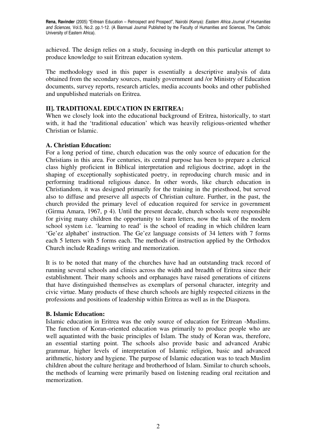achieved. The design relies on a study, focusing in-depth on this particular attempt to produce knowledge to suit Eritrean education system.

The methodology used in this paper is essentially a descriptive analysis of data obtained from the secondary sources, mainly government and /or Ministry of Education documents, survey reports, research articles, media accounts books and other published and unpublished materials on Eritrea.

## **II]. TRADITIONAL EDUCATION IN ERITREA:**

When we closely look into the educational background of Eritrea, historically, to start with, it had the 'traditional education' which was heavily religious-oriented whether Christian or Islamic.

## **A. Christian Education:**

For a long period of time, church education was the only source of education for the Christians in this area. For centuries, its central purpose has been to prepare a clerical class highly proficient in Biblical interpretation and religious doctrine, adopt in the shaping of exceptionally sophisticated poetry, in reproducing church music and in performing traditional religious dance. In other words, like church education in Christiandom, it was designed primarily for the training in the priesthood, but served also to diffuse and preserve all aspects of Christian culture. Further, in the past, the church provided the primary level of education required for service in government (Girma Amara, 1967, p 4). Until the present decade, church schools were responsible for giving many children the opportunity to learn letters, now the task of the modern school system i.e. 'learning to read' is the school of reading in which children learn 'Ge'ez alphabet' instruction. The Ge'ez language consists of 34 letters with 7 forms each 5 letters with 5 forms each. The methods of instruction applied by the Orthodox Church include Readings writing and memorization.

It is to be noted that many of the churches have had an outstanding track record of running several schools and clinics across the width and breadth of Eritrea since their establishment. Their many schools and orphanages have raised generations of citizens that have distinguished themselves as exemplars of personal character, integrity and civic virtue. Many products of these church schools are highly respected citizens in the professions and positions of leadership within Eritrea as well as in the Diaspora.

## **B. Islamic Education:**

Islamic education in Eritrea was the only source of education for Eritrean -Muslims. The function of Koran-oriented education was primarily to produce people who are well aquatinted with the basic principles of Islam. The study of Koran was, therefore, an essential starting point. The schools also provide basic and advanced Arabic grammar, higher levels of interpretation of Islamic religion, basic and advanced arithmetic, history and hygiene. The purpose of Islamic education was to teach Muslim children about the culture heritage and brotherhood of Islam. Similar to church schools, the methods of learning were primarily based on listening reading oral recitation and memorization.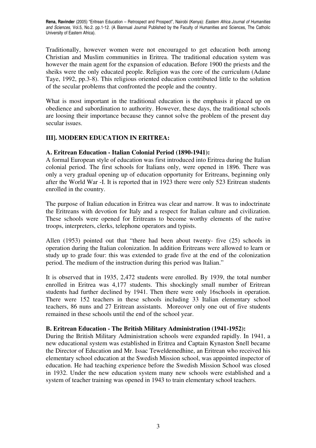Traditionally, however women were not encouraged to get education both among Christian and Muslim communities in Eritrea. The traditional education system was however the main agent for the expansion of education. Before 1900 the priests and the sheiks were the only educated people. Religion was the core of the curriculum (Adane Taye, 1992, pp.3-8). This religious oriented education contributed little to the solution of the secular problems that confronted the people and the country.

What is most important in the traditional education is the emphasis it placed up on obedience and subordination to authority. However, these days, the traditional schools are loosing their importance because they cannot solve the problem of the present day secular issues.

# **III]. MODERN EDUCATION IN ERITREA:**

## **A. Eritrean Education - Italian Colonial Period (1890-1941):**

A formal European style of education was first introduced into Eritrea during the Italian colonial period. The first schools for Italians only, were opened in 1896. There was only a very gradual opening up of education opportunity for Eritreans, beginning only after the World War -I. It is reported that in 1923 there were only 523 Eritrean students enrolled in the country.

The purpose of Italian education in Eritrea was clear and narrow. It was to indoctrinate the Eritreans with devotion for Italy and a respect for Italian culture and civilization. These schools were opened for Eritreans to become worthy elements of the native troops, interpreters, clerks, telephone operators and typists.

Allen (1953) pointed out that "there had been about twenty- five (25) schools in operation during the Italian colonization. In addition Eritreans were allowed to learn or study up to grade four: this was extended to grade five at the end of the colonization period. The medium of the instruction during this period was Italian."

It is observed that in 1935, 2,472 students were enrolled. By 1939, the total number enrolled in Eritrea was 4,177 students. This shockingly small number of Eritrean students had further declined by 1941. Then there were only 16schools in operation. There were 152 teachers in these schools including 33 Italian elementary school teachers, 86 nuns and 27 Eritrean assistants. Moreover only one out of five students remained in these schools until the end of the school year.

# **B. Eritrean Education - The British Military Administration (1941-1952):**

During the British Military Administration schools were expanded rapidly. In 1941, a new educational system was established in Eritrea and Captain Kynaston Snell became the Director of Education and Mr. Issac Teweldemedhine, an Eritrean who received his elementary school education at the Swedish Mission school, was appointed inspector of education. He had teaching experience before the Swedish Mission School was closed in 1932. Under the new education system many new schools were established and a system of teacher training was opened in 1943 to train elementary school teachers.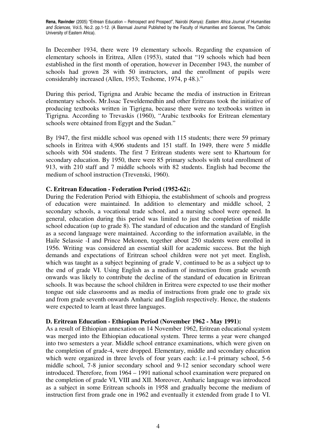In December 1934, there were 19 elementary schools. Regarding the expansion of elementary schools in Eritrea, Allen (1953), stated that "19 schools which had been established in the first month of operation, however in December 1943, the number of schools had grown 28 with 50 instructors, and the enrollment of pupils were considerably increased (Allen, 1953; Teshome, 1974, p 48.)."

During this period, Tigrigna and Arabic became the media of instruction in Eritrean elementary schools. Mr.Issac Teweldemedhin and other Eritreans took the initiative of producing textbooks written in Tigrigna, because there were no textbooks written in Tigrigna. According to Trevaskis (1960), "Arabic textbooks for Eritrean elementary schools were obtained from Egypt and the Sudan."

By 1947, the first middle school was opened with 115 students; there were 59 primary schools in Eritrea with 4,906 students and 151 staff. In 1949, there were 5 middle schools with 504 students. The first 7 Eritrean students were sent to Khartoum for secondary education. By 1950, there were 85 primary schools with total enrollment of 913, with 210 staff and 7 middle schools with 82 students. English had become the medium of school instruction (Trevenski, 1960).

## **C. Eritrean Education - Federation Period (1952-62):**

During the Federation Period with Ethiopia, the establishment of schools and progress of education were maintained. In addition to elementary and middle school, 2 secondary schools, a vocational trade school, and a nursing school were opened. In general, education during this period was limited to just the completion of middle school education (up to grade 8). The standard of education and the standard of English as a second language were maintained. According to the information available, in the Haile Selassie -I and Prince Mekonen, together about 250 students were enrolled in 1956. Writing was considered an essential skill for academic success. But the high demands and expectations of Eritrean school children were not yet meet. English, which was taught as a subject beginning of grade V, continued to be as a subject up to the end of grade VI. Using English as a medium of instruction from grade seventh onwards was likely to contribute the decline of the standard of education in Eritrean schools. It was because the school children in Eritrea were expected to use their mother tongue out side classrooms and as media of instructions from grade one to grade six and from grade seventh onwards Amharic and English respectively. Hence, the students were expected to learn at least three languages.

## **D. Eritrean Education - Ethiopian Period (November 1962 - May 1991):**

As a result of Ethiopian annexation on 14 November 1962, Eritrean educational system was merged into the Ethiopian educational system. Three terms a year were changed into two semesters a year. Middle school entrance examinations, which were given on the completion of grade-4, were dropped. Elementary, middle and secondary education which were organized in three levels of four years each: i.e.1-4 primary school, 5-6 middle school, 7-8 junior secondary school and 9-12 senior secondary school were introduced. Therefore, from 1964 – 1991 national school examination were prepared on the completion of grade VI, VIII and XII. Moreover, Amharic language was introduced as a subject in some Eritrean schools in 1958 and gradually become the medium of instruction first from grade one in 1962 and eventually it extended from grade I to VI.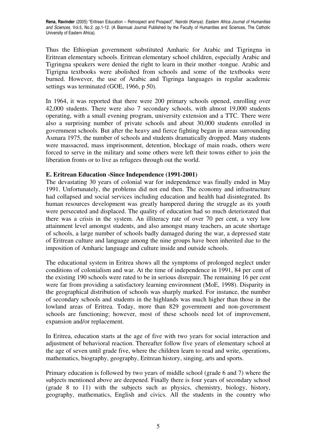Thus the Ethiopian government substituted Amharic for Arabic and Tigringna in Eritrean elementary schools. Eritrean elementary school children, especially Arabic and Tigringna speakers were denied the right to learn in their mother -tongue. Arabic and Tigrigna textbooks were abolished from schools and some of the textbooks were burned. However, the use of Arabic and Tigringa languages in regular academic settings was terminated (GOE, 1966, p 50).

In 1964, it was reported that there were 200 primary schools opened, enrolling over 42,000 students. There were also 7 secondary schools, with almost 19,000 students operating, with a small evening program, university extension and a TTC. There were also a surprising number of private schools and about 30,000 students enrolled in government schools. But after the heavy and fierce fighting began in areas surrounding Asmara 1975, the number of schools and students dramatically dropped. Many students were massacred, mass imprisonment, detention, blockage of main roads, others were forced to serve in the military and some others were left their towns either to join the liberation fronts or to live as refugees through out the world.

## **E. Eritrean Education -Since Independence (1991-2001)**

The devastating 30 years of colonial war for independence was finally ended in May 1991. Unfortunately, the problems did not end then. The economy and infrastructure had collapsed and social services including education and health had disintegrated. Its human resources development was greatly hampered during the struggle as its youth were persecuted and displaced. The quality of education had so much deteriorated that there was a crisis in the system. An illiteracy rate of over 70 per cent, a very low attainment level amongst students, and also amongst many teachers, an acute shortage of schools, a large number of schools badly damaged during the war, a depressed state of Eritrean culture and language among the nine groups have been inherited due to the imposition of Amharic language and culture inside and outside schools.

The educational system in Eritrea shows all the symptoms of prolonged neglect under conditions of colonialism and war. At the time of independence in 1991, 84 per cent of the existing 190 schools were rated to be in serious disrepair. The remaining 16 per cent were far from providing a satisfactory learning environment (MoE, 1998). Disparity in the geographical distribution of schools was sharply marked. For instance, the number of secondary schools and students in the highlands was much higher than those in the lowland areas of Eritrea. Today, more than 829 government and non-government schools are functioning; however, most of these schools need lot of improvement, expansion and/or replacement.

In Eritrea, education starts at the age of five with two years for social interaction and adjustment of behavioral reaction. Thereafter follow five years of elementary school at the age of seven until grade five, where the children learn to read and write, operations, mathematics, biography, geography, Eritrean history, singing, arts and sports.

Primary education is followed by two years of middle school (grade 6 and 7) where the subjects mentioned above are deepened. Finally there is four years of secondary school (grade 8 to 11) with the subjects such as physics, chemistry, biology, history, geography, mathematics, English and civics. All the students in the country who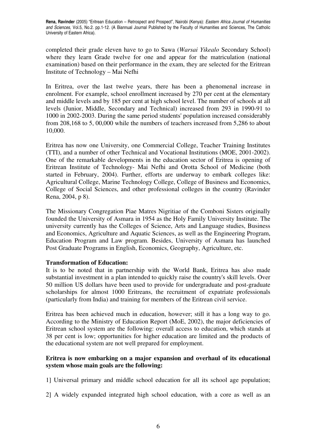completed their grade eleven have to go to Sawa (*Warsai Yikealo* Secondary School) where they learn Grade twelve for one and appear for the matriculation (national examination) based on their performance in the exam, they are selected for the Eritrean Institute of Technology – Mai Nefhi

In Eritrea, over the last twelve years, there has been a phenomenal increase in enrolment. For example, school enrollment increased by 270 per cent at the elementary and middle levels and by 185 per cent at high school level. The number of schools at all levels (Junior, Middle, Secondary and Technical) increased from 293 in 1990-91 to 1000 in 2002-2003. During the same period students' population increased considerably from 208,168 to 5, 00,000 while the numbers of teachers increased from 5,286 to about 10,000.

Eritrea has now one University, one Commercial College, Teacher Training Institutes (TTI), and a number of other Technical and Vocational Institutions (MOE, 2001-2002). One of the remarkable developments in the education sector of Eritrea is opening of Eritrean Institute of Technology- Mai Nefhi and Orotta School of Medicine (both started in February, 2004). Further, efforts are underway to embark colleges like: Agricultural College, Marine Technology College, College of Business and Economics, College of Social Sciences, and other professional colleges in the country (Ravinder Rena, 2004, p 8).

The Missionary Congregation Piae Matres Nigritiae of the Comboni Sisters originally founded the University of Asmara in 1954 as the Holy Family University Institute. The university currently has the Colleges of Science, Arts and Language studies, Business and Economics, Agriculture and Aquatic Sciences, as well as the Engineering Program, Education Program and Law program. Besides, University of Asmara has launched Post Graduate Programs in English, Economics, Geography, Agriculture, etc.

## **Transformation of Education:**

It is to be noted that in partnership with the World Bank, Eritrea has also made substantial investment in a plan intended to quickly raise the country's skill levels. Over 50 million US dollars have been used to provide for undergraduate and post-graduate scholarships for almost 1000 Eritreans, the recruitment of expatriate professionals (particularly from India) and training for members of the Eritrean civil service.

Eritrea has been achieved much in education, however; still it has a long way to go. According to the Ministry of Education Report (MoE, 2002), the major deficiencies of Eritrean school system are the following: overall access to education, which stands at 38 per cent is low; opportunities for higher education are limited and the products of the educational system are not well prepared for employment.

# **Eritrea is now embarking on a major expansion and overhaul of its educational system whose main goals are the following:**

1] Universal primary and middle school education for all its school age population;

2] A widely expanded integrated high school education, with a core as well as an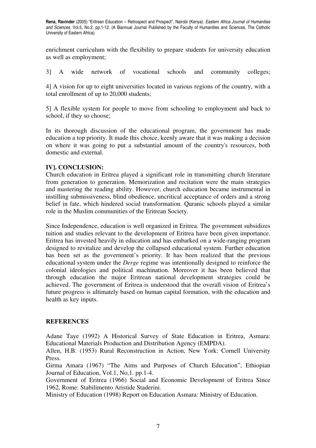enrichment curriculum with the flexibility to prepare students for university education as well as employment;

3] A wide network of vocational schools and community colleges;

4] A vision for up to eight universities located in various regions of the country, with a total enrollment of up to 20,000 students;

5] A flexible system for people to move from schooling to employment and back to school, if they so choose;

In its thorough discussion of the educational program, the government has made education a top priority. It made this choice, keenly aware that it was making a decision on where it was going to put a substantial amount of the country's resources, both domestic and external.

## **IV]. CONCLUSION:**

Church education in Eritrea played a significant role in transmitting church literature from generation to generation. Memorization and recitation were the main strategies and mastering the reading ability. However, church education became instrumental in instilling submissiveness, blind obedience, uncritical acceptance of orders and a strong belief in fate, which hindered social transformation. Quranic schools played a similar role in the Muslim communities of the Eritrean Society.

Since Independence, education is well organized in Eritrea. The government subsidizes tuition and studies relevant to the development of Eritrea have been given importance. Eritrea has invested heavily in education and has embarked on a wide-ranging program designed to revitalize and develop the collapsed educational system. Further education has been set as the government's priority. It has been realized that the previous educational system under the *Derge* regime was intentionally designed to reinforce the colonial ideologies and political machination. Moreover it has been believed that through education the major Eritrean national development strategies could be achieved. The government of Eritrea is understood that the overall vision of Eritrea's future progress is ultimately based on human capital formation, with the education and health as key inputs.

## **REFERENCES**

Adane Taye (1992) A Historical Survey of State Education in Eritrea, Asmara: Educational Materials Production and Distribution Agency (EMPDA).

Allen, H.B. (1953) Rural Reconstruction in Action, New York: Cornell University Press.

Girma Amara (1967) "The Aims and Purposes of Church Education", Ethiopian Journal of Education, Vol.1, No,1. pp.1-4.

Government of Eritrea (1966) Social and Economic Development of Eritrea Since 1962, Rome: Stabilimento Aristide Staderini.

Ministry of Education (1998) Report on Education Asmara: Ministry of Education.